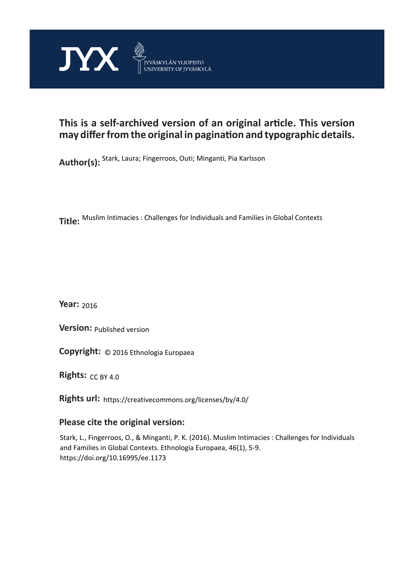

## **This is a self-archived version of an original article. This version may differ from the original in pagination and typographic details.**

**Author(s):**  Stark, Laura; Fingerroos, Outi; Minganti, Pia Karlsson

**Title:**  Muslim Intimacies : Challenges for Individuals and Families in Global Contexts

**Year:**  2016

**Version: Published version** 

**Version:** Published version<br>**Copyright:** © 2016 Ethnologia Europaea

**Rights:** CC BY 4.0

**Rights url:**  https://creativecommons.org/licenses/by/4.0/

### **Please cite the original version:**

Stark, L., Fingerroos, O., & Minganti, P. K. (2016). Muslim Intimacies : Challenges for Individuals and Families in Global Contexts. Ethnologia Europaea, 46(1), 5-9. https://doi.org/10.16995/ee.1173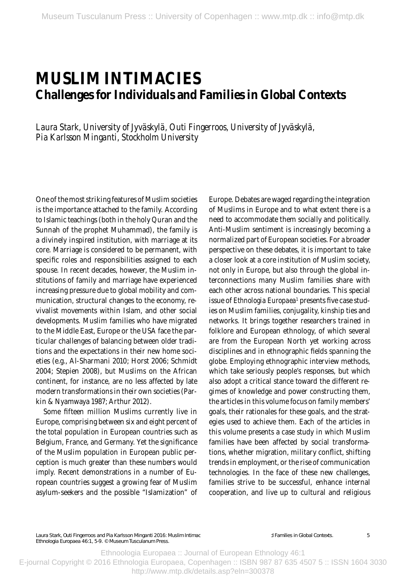# **MUSLIM INTIMACIES Challenges for Individuals and Families in Global Contexts**

*Laura Stark, University of Jyväskylä, Outi Fingerroos, University of Jyväskylä, Pia Karlsson Minganti, Stockholm University* 

One of the most striking features of Muslim societies is the importance attached to the family. According to Islamic teachings (both in the holy Quran and the Sunnah of the prophet Muhammad), the family is a divinely inspired institution, with marriage at its core. Marriage is considered to be permanent, with specific roles and responsibilities assigned to each spouse. In recent decades, however, the Muslim institutions of family and marriage have experienced increasing pressure due to global mobility and communication, structural changes to the economy, revivalist movements within Islam, and other social developments. Muslim families who have migrated to the Middle East, Europe or the USA face the particular challenges of balancing between older traditions and the expectations in their new home societies (e.g., Al-Sharmani 2010; Horst 2006; Schmidt 2004; Stepien 2008), but Muslims on the African continent, for instance, are no less affected by late modern transformations in their own societies (Parkin & Nyamwaya 1987; Arthur 2012).

Some fifteen million Muslims currently live in Europe, comprising between six and eight percent of the total population in European countries such as Belgium, France, and Germany. Yet the significance of the Muslim population in European public perception is much greater than these numbers would imply. Recent demonstrations in a number of European countries suggest a growing fear of Muslim asylum-seekers and the possible "Islamization" of Europe. Debates are waged regarding the integration of Muslims in Europe and to what extent there is a need to accommodate them socially and politically. Anti-Muslim sentiment is increasingly becoming a normalized part of European societies. For a broader perspective on these debates, it is important to take a closer look at a core institution of Muslim society, not only in Europe, but also through the global interconnections many Muslim families share with each other across national boundaries. This special issue of *Ethnologia Europaea*' presents five case studies on Muslim families, conjugality, kinship ties and networks. It brings together researchers trained in folklore and European ethnology, of which several are from the European North yet working across disciplines and in ethnographic fields spanning the globe. Employing ethnographic interview methods, which take seriously people's responses, but which also adopt a critical stance toward the different regimes of knowledge and power constructing them, the articles in this volume focus on family members' goals, their rationales for these goals, and the strategies used to achieve them. Each of the articles in this volume presents a case study in which Muslim families have been affected by social transformations, whether migration, military conflict, shifting trends in employment, or the rise of communication technologies. In the face of these new challenges, families strive to be successful, enhance internal cooperation, and live up to cultural and religious

Laura Stark, Outi Fingerroos and Pia Karlsson Minganti 2016: Muslim Intimac *Ethnologia Europaea* 46:1, 5-9. © Museum Tusculanum Press.

**1 Families in Global Contexts** 

5

Ethnoologia Europaea :: Journal of European Ethnology 46:1 E-journal Copyright © 2016 Ethnologia Europaea, Copenhagen :: ISBN 987 87 635 4507 5 :: ISSN 1604 3030 http://www.mtp.dk/details.asp?eln=300378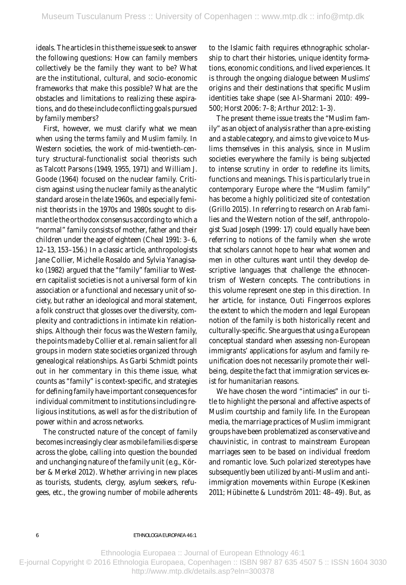ideals. The articles in this theme issue seek to answer the following questions: How can family members collectively be the family they want to be? What are the institutional, cultural, and socio-economic frameworks that make this possible? What are the obstacles and limitations to realizing these aspirations, and do these include conflicting goals pursued by family members?

First, however, we must clarify what we mean when using the terms *family* and *Muslim family*. In Western societies, the work of mid-twentieth-century structural-functionalist social theorists such as Talcott Parsons (1949, 1955, 1971) and William J. Goode (1964) focused on the nuclear family. Criticism against using the nuclear family as the analy tic standard arose in the late 1960s, and especially feminist theorists in the 1970s and 1980s sought to dismantle the orthodox consensus according to which a "normal" family consists of mother, father and their children under the age of eighteen (Cheal 1991: 3-6, 12–13, 153–156.) In a classic article, anthropologists Jane Collier, Michelle Rosaldo and Sylvia Yanagisako (1982) argued that the "family" familiar to Western capitalist societies is not a universal form of kin association or a functional and necessary unit of society, but rather an ideological and moral statement, a folk construct that glosses over the diversity, complexity and contradictions in intimate kin relationships. Although their focus was the Western family, the points made by Collier et al. remain salient for all groups in modern state societies organized through genealogical relationships. As Garbi Schmidt points out in her commentary in this theme issue, what counts as "family" is context-specific, and strategies for defining family have important consequences for individual commitment to institutions including religious institutions, as well as for the distribution of power within and across networks.

The constructed nature of the concept of family becomes increasingly clear as *mobile families disperse*  across the globe, calling into question the bounded and unchanging nature of the family unit (e.g., Körber & Merkel 2012). Whether arriving in new places as tourists, students, clergy, asylum seekers, refugees, etc., the growing number of mobile adherents

6

to the Islamic faith requires ethnographic scholarship to chart their histories, unique identity formations, economic conditions, and lived experiences. It is through the ongoing dialogue between Muslims' origins and their destinations that specific Muslim identities take shape (see Al-Sharmani 2010: 499-500; Horst 2006: 7-8; Arthur 2012: 1-3).

The present theme issue treats the "Muslim family" as an object of analysis rather than a pre-existing and a stable category, and aims to give voice to Muslims themselves in this analysis, since in Muslim societies everywhere the family is being subjected to intense scrutiny in order to redefine its limits, functions and meanings. This is particularly true in contemporary Europe where the "Muslim family" has become a highly politicized site of contestation (Grillo 2015). In referring to research on Arab families and the Western notion of the self, anthropologist Suad Joseph (1999: 17) could equally have been referring to notions of the family when she wrote that scholars cannot hope to hear what women and men in other cultures want until they develop descriptive languages that challenge the ethnocentrism of Western concepts. The contributions in this volume represent one step in this direction. In her article, for instance, Outi Fingerroos explores the extent to which the modern and legal European notion of the family is both historically recent and culturally-specific. She argues that using a European conceptual standard when assessing non-European immigrants' applications for asylum and family reunification does not necessarily promote their wellbeing, despite the fact that immigration services exist for humanitarian reasons.

We have chosen the word "intimacies" in our title to highlight the personal and affective aspects of Muslim courtship and family life. In the European media, the marriage practices of Muslim immigrant groups have been problematized as conservative and chauvinistic, in contrast to mainstream European marriages seen to be based on individual freedom and romantic love. Such polarized stereoty pes have subsequently been utilized by anti-Muslim and antiimmigration movements within Europe (Keskinen 2011; Hübinette & Lundström 2011: 48–49). But, as

Ethnoologia Europaea :: Journal of European Ethnology 46:1 E-journal Copyright © 2016 Ethnologia Europaea, Copenhagen :: ISBN 987 87 635 4507 5 :: ISSN 1604 3030 http://www.mtp.dk/details.asp?eln=300378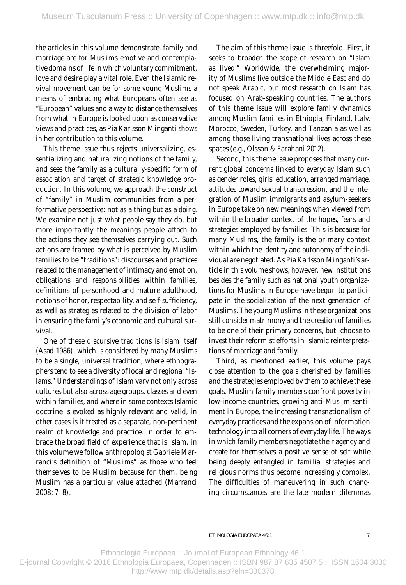the articles in this volume demonstrate, family and marriage are for Muslims emotive and contemplative domains of life in which voluntary commitment, love and desire play a vital role. Even the Islamic revival movement can be for some young Muslims a means of embracing what Europeans often see as "European" values and a way to distance themselves from what in Europe is looked upon as conservative views and practices, as Pia Karlsson Minganti shows in her contribution to this volume.

This theme issue thus rejects universalizing, essentializing and naturalizing notions of the family, and sees the family as a culturally-specific form of association and target of strategic knowledge production. In this volume, we approach the construct of "family" in Muslim communities from a performative perspective: not as a thing but as a *doing*. We examine not just what people say they do, but more importantly the meanings people attach to the actions they see themselves carrying out. Such actions are framed by what is perceived by Muslim families to be "traditions": discourses and practices related to the management of intimacy and emotion, obligations and responsibilities within families, definitions of personhood and mature adulthood, notions of honor, respectability, and self-sufficiency, as well as strategies related to the division of labor in ensuring the family's economic and cultural survival.

One of these discursive traditions is Islam itself (Asad 1986), which is considered by many Muslims to be a single, universal tradition, where ethnographers tend to see a diversity of local and regional "Islams." Understandings of Islam vary not only across cultures but also across age groups, classes and even within families, and where in some contexts Islamic doctrine is evoked as highly relevant and valid, in other cases is it treated as a separate, non-pertinent realm of knowledge and practice. In order to embrace the broad field of experience that is Islam, in this volume we follow anthropologist Gabriele Marranci's definition of "Muslims" as those who feel themselves to be Muslim because for them, being Muslim has a particular value attached (Marranci  $2008:7-8$ .

The aim of this theme issue is threefold. First, it seeks to broaden the scope of research on "Islam as lived." Worldwide, the overwhelming majority of Muslims live outside the Middle East and do not speak Arabic, but most research on Islam has focused on Arab-speaking countries. The authors of this theme issue will explore family dynamics among Muslim families in Ethiopia, Finland, Italy, Morocco, Sweden, Turkey, and Tanzania as well as among those living transnational lives across these spaces (e.g., Olsson & Farahani 2012).

Second, this theme issue proposes that many current global concerns linked to everyday Islam such as gender roles, girls' education, arranged marriage, attitudes toward sexual transgression, and the integration of Muslim immigrants and asylum-seekers in Europe take on new meanings when viewed from within the broader context of the hopes, fears and strategies employed by families. This is because for many Muslims, the family is the primary context within which the identity and autonomy of the individual are negotiated. As Pia Karlsson Minganti 's article in this volume shows, however, new institutions besides the family such as national youth organizations for Muslims in Europe have begun to participate in the socialization of the next generation of Muslims. The young Muslims in these organizations still consider matrimony and the creation of families to be one of their primary concerns, but choose to invest their reformist efforts in Islamic reinterpretations of marriage and family.

Third, as mentioned earlier, this volume pays close attention to the goals cherished by families and the strategies employed by them to achieve these goals. Muslim family members confront poverty in low-income countries, growing anti-Muslim sentiment in Europe, the increasing transnationalism of everyday practices and the expansion of information technology into all corners of everyday life. The ways in which family members negotiate their agency and create for themselves a positive sense of self while being deeply entangled in familial strategies and religious norms thus become increasingly complex. The difficulties of maneuvering in such changing circumstances are the late modern dilemmas

Ethnoologia Europaea :: Journal of European Ethnology 46:1 E-journal Copyright © 2016 Ethnologia Europaea, Copenhagen :: ISBN 987 87 635 4507 5 :: ISSN 1604 3030 http://www.mtp.dk/details.asp?eln=300378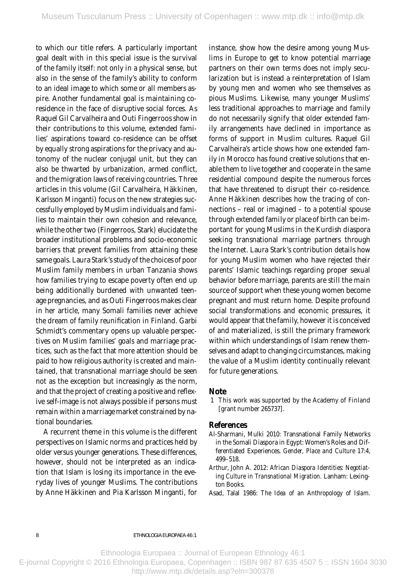to which our title refers. A particularly important goal dealt with in this special issue is the survival of the family itself: not only in a physical sense, but also in the sense of the family's ability to conform to an ideal image to which some or all members aspire. Another fundamental goal is maintaining coresidence in the face of disruptive social forces. As Raquel Gil Carvalheira and Outi Fingerroos show in their contributions to this volume, extended families' aspirations toward co-residence can be offset by equally strong aspirations for the privacy and autonomy of the nuclear conjugal unit, but they can also be thwarted by urbanization, armed conflict, and the migration laws of receiving countries. Three articles in this volume (Gil Carvalheira, Häkkinen, Karlsson Minganti) focus on the new strategies successfully employed by Muslim individuals and families to maintain their own cohesion and relevance, while the other two (Fingerroos, Stark) elucidate the broader institutional problems and socio-economic barriers that prevent families from attaining these same goals. Laura Stark 's study of the choices of poor Muslim family members in urban Tanzania shows how families trying to escape poverty often end up being additionally burdened with unwanted teenage pregnancies, and as Outi Fingerroos makes clear in her article, many Somali families never achieve the dream of family reunification in Finland. Garbi Schmidt's commentary opens up valuable perspectives on Muslim families' goals and marriage practices, such as the fact that more attention should be paid to how religious authority is created and maintained, that transnational marriage should be seen not as the exception but increasingly as the norm, and that the project of creating a positive and reflexive self-image is not always possible if persons must remain within a marriage market constrained by national boundaries.

A recurrent theme in this volume is the different perspectives on Islamic norms and practices held by older versus younger generations. These differences, however, should not be interpreted as an indication that Islam is losing its importance in the everyday lives of younger Muslims. The contributions by Anne Häk kinen and Pia Karlsson Minganti, for instance, show how the desire among young Muslims in Europe to get to know potential marriage partners on their own terms does not imply secularization but is instead a reinterpretation of Islam by young men and women who see themselves as pious Muslims. Likewise, many younger Muslims' less traditional approaches to marriage and family do not necessarily signify that older extended family arrangements have declined in importance as forms of support in Muslim cultures. Raquel Gil Car valheira's article shows how one extended family in Morocco has found creative solutions that enable them to live together and cooperate in the same residential compound despite the numerous forces that have threatened to disrupt their co-residence. Anne Häkkinen describes how the tracing of connections – real or imagined – to a potential spouse through extended family or place of birth can be important for young Muslims in the Kurdish diaspora seeking transnational marriage partners through the Internet. Laura Stark 's contribution details how for young Muslim women who have rejected their parents' Islamic teachings regarding proper sexual behavior before marriage, parents are still the main source of support when these young women become pregnant and must return home. Despite profound social transformations and economic pressures, it would appear that the family, however it is conceived of and materialized, is still the primary framework within which understandings of Islam renew themselves and adapt to changing circumstances, making the value of a Muslim identity continually relevant for future generations.

#### **Note**

 1 This work was supported by the Academy of Finland [grant number 265737].

### **References**

- Al-Sharmani, Mulki 2010: Transnational Family Networks in the Somali Diaspora in Egypt: Women's Roles and Differentiated Experiences. *Gender, Place and Culture* 17:4, 499–518.
- *ing Culture in Transnational Migration.* Lanham: Lexing-Arthur, John A. 2012: *African Diaspora Identities: Negotiat*ton Books.
- Asad, Talal 1986: *The Idea of an Anthropology of Islam.*

eThnologia euroPaea 46:1

Ethnoologia Europaea :: Journal of European Ethnology 46:1

E-journal Copyright © 2016 Ethnologia Europaea, Copenhagen :: ISBN 987 87 635 4507 5 :: ISSN 1604 3030 http://www.mtp.dk/details.asp?eln=300378